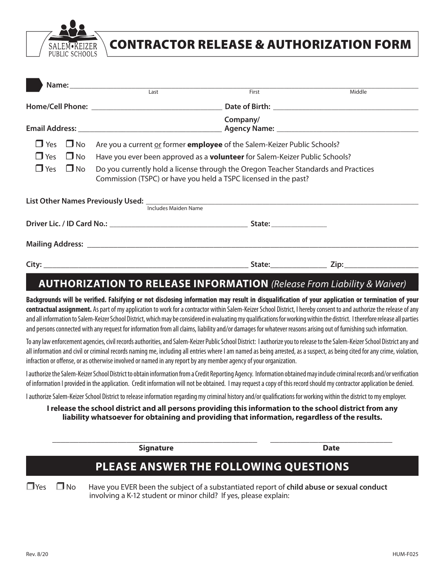

# CONTRACTOR RELEASE & AUTHORIZATION FORM

|  |                      | Name: Last                                                                                                                                            | First                   | Middle |  |  |
|--|----------------------|-------------------------------------------------------------------------------------------------------------------------------------------------------|-------------------------|--------|--|--|
|  |                      |                                                                                                                                                       |                         |        |  |  |
|  |                      | Company/<br>Agency Name: 1980 Manual Manual Manual Manual Manual Manual Manual Manual Manual Manual Manual Manual Manual M                            |                         |        |  |  |
|  |                      | $\Box$ Yes $\Box$ No Are you a current or former <b>employee</b> of the Salem-Keizer Public Schools?                                                  |                         |        |  |  |
|  | $\Box$ Yes $\Box$ No | Have you ever been approved as a <b>volunteer</b> for Salem-Keizer Public Schools?                                                                    |                         |        |  |  |
|  | $\Box$ Yes $\Box$ No | Do you currently hold a license through the Oregon Teacher Standards and Practices<br>Commission (TSPC) or have you held a TSPC licensed in the past? |                         |        |  |  |
|  |                      | Includes Maiden Name                                                                                                                                  |                         |        |  |  |
|  |                      |                                                                                                                                                       |                         |        |  |  |
|  |                      |                                                                                                                                                       |                         |        |  |  |
|  |                      |                                                                                                                                                       | State:_________________ |        |  |  |

## **AUTHORIZATION TO RELEASE INFORMATION** *(Release From Liability & Waiver)*

**Backgrounds will be verified. Falsifying or not disclosing information may result in disqualification of your application or termination of your contractual assignment.** As part of my application to work for a contractor within Salem-Keizer School District, I hereby consent to and authorize the release of any and all information to Salem-Keizer School District, which may be considered in evaluating my qualifications for working within the district. I therefore release all parties and persons connected with any request for information from all claims, liability and/or damages for whatever reasons arising out of furnishing such information.

To any law enforcement agencies, civil records authorities, and Salem-Keizer Public School District: I authorize you to release to the Salem-Keizer School District any and all information and civil or criminal records naming me, including all entries where I am named as being arrested, as a suspect, as being cited for any crime, violation, infraction or offense, or as otherwise involved or named in any report by any member agency of your organization.

I authorize the Salem-Keizer School District to obtain information from a Credit Reporting Agency. Information obtained may include criminal records and/or verification of information I provided in the application. Credit information will not be obtained. I may request a copy of this record should my contractor application be denied.

I authorize Salem-Keizer School District to release information regarding my criminal history and/or qualifications for working within the district to my employer.

### **I release the school district and all persons providing this information to the school district from any liability whatsoever for obtaining and providing that information, regardless of the results.**

**\_\_\_\_\_\_\_\_\_\_\_\_\_\_\_\_\_\_\_\_\_\_\_\_\_\_\_\_\_\_\_\_\_\_\_\_\_\_\_\_\_\_\_\_\_\_\_ \_\_\_\_\_\_\_\_\_\_\_\_\_\_\_\_\_\_\_\_\_\_\_\_\_\_\_\_**

**Signature Date**

## **PLEASE ANSWER THE FOLLOWING QUESTIONS**

**T** Yes  $\Box$  No Have you EVER been the subject of a substantiated report of **child abuse or sexual conduct** involving a K-12 student or minor child? If yes, please explain: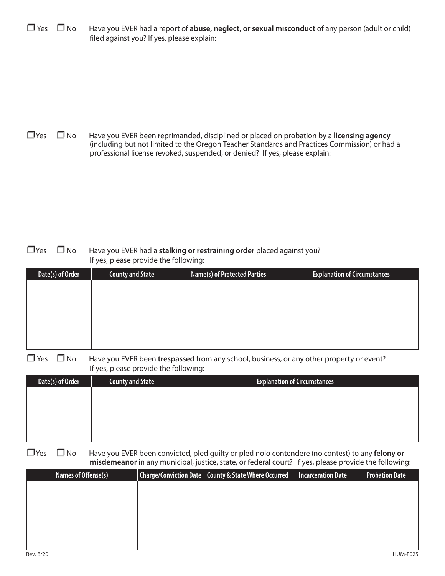$\Box$  Yes  $\Box$  No Have you EVER had a report of **abuse, neglect, or sexual misconduct** of any person (adult or child) filed against you? If yes, please explain:

**T** Yes  $\Box$  No Have you EVER been reprimanded, disciplined or placed on probation by a **licensing agency** (including but not limited to the Oregon Teacher Standards and Practices Commission) or had a professional license revoked, suspended, or denied? If yes, please explain:

**T** Yes **I** No Have you EVER had a stalking or restraining order placed against you? If yes, please provide the following:

| Date(s) of Order | <b>County and State</b> | <b>Name(s) of Protected Parties</b> | <b>Explanation of Circumstances</b> |
|------------------|-------------------------|-------------------------------------|-------------------------------------|
|                  |                         |                                     |                                     |
|                  |                         |                                     |                                     |
|                  |                         |                                     |                                     |
|                  |                         |                                     |                                     |
|                  |                         |                                     |                                     |
|                  |                         |                                     |                                     |

□ Yes □ No Have you EVER been trespassed from any school, business, or any other property or event? If yes, please provide the following:

| Date(s) of Order | <b>County and State</b> | <b>Explanation of Circumstances</b> |
|------------------|-------------------------|-------------------------------------|
|                  |                         |                                     |
|                  |                         |                                     |
|                  |                         |                                     |
|                  |                         |                                     |
|                  |                         |                                     |

**T** Yes  $\Box$  No Have you EVER been convicted, pled guilty or pled nolo contendere (no contest) to any **felony or misdemeanor** in any municipal, justice, state, or federal court? If yes, please provide the following:

| Names of Offense(s) | $\vert$ Charge/Conviction Date $\vert$ County & State Where Occurred $\vert$ | <b>Incarceration Date</b> | <b>Probation Date</b> |
|---------------------|------------------------------------------------------------------------------|---------------------------|-----------------------|
|                     |                                                                              |                           |                       |
|                     |                                                                              |                           |                       |
|                     |                                                                              |                           |                       |
|                     |                                                                              |                           |                       |
|                     |                                                                              |                           |                       |
|                     |                                                                              |                           |                       |